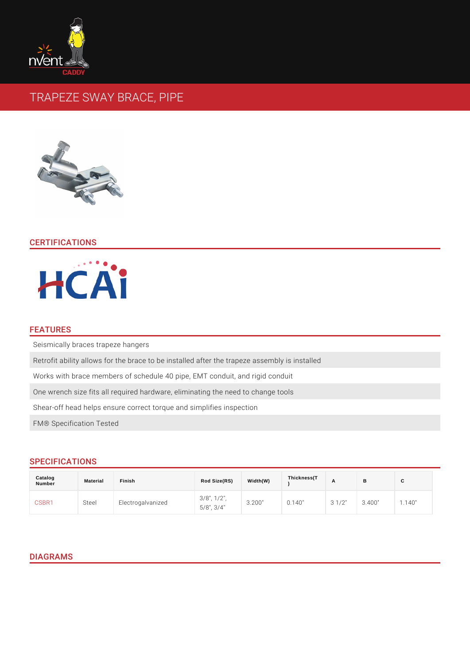# TRAPEZE SWAY BRACE, PIPE

# CERTIFICATIONS

#### FEATURES

Seismically braces trapeze hangers

Retrofit ability allows for the brace to be installed after the trapeze assembly i Works with brace members of schedule 40 pipe, EMT conduit, and rigid conduit One wrench size fits all required hardware, eliminating the need to change tool Shear-off head helps ensure correct torque and simplifies inspection FM® Specification Tested

# SPECIFICATIONS

| Catalog<br>Number | Material | Finish                                                                            | Rod Size(RS) | Width(W) | Thickness(T |  |        |
|-------------------|----------|-----------------------------------------------------------------------------------|--------------|----------|-------------|--|--------|
| CSBR1             | Steel    | Electrogalvanized $\frac{3}{5}/8$ ", $\frac{1}{2}$ ", 3.200" 0.140" 3.1/2" 3.400" |              |          |             |  | 1.140" |

#### DIAGRAMS